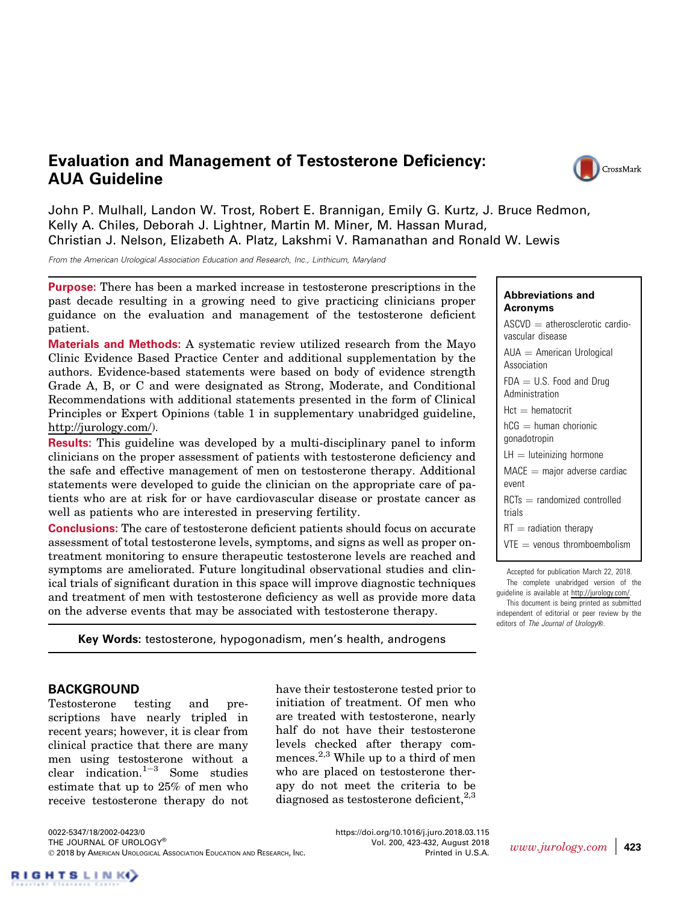# Evaluation and Management of Testosterone Deficiency: AUA Guideline



John P. Mulhall, Landon W. Trost, Robert E. Brannigan, Emily G. Kurtz, J. Bruce Redmon, Kelly A. Chiles, Deborah J. Lightner, Martin M. Miner, M. Hassan Murad, Christian J. Nelson, Elizabeth A. Platz, Lakshmi V. Ramanathan and Ronald W. Lewis

From the American Urological Association Education and Research, Inc., Linthicum, Maryland

Purpose: There has been a marked increase in testosterone prescriptions in the past decade resulting in a growing need to give practicing clinicians proper guidance on the evaluation and management of the testosterone deficient patient.

Materials and Methods: A systematic review utilized research from the Mayo Clinic Evidence Based Practice Center and additional supplementation by the authors. Evidence-based statements were based on body of evidence strength Grade A, B, or C and were designated as Strong, Moderate, and Conditional Recommendations with additional statements presented in the form of Clinical Principles or Expert Opinions (table 1 in supplementary unabridged guideline, <http://jurology.com/>).

Results: This guideline was developed by a multi-disciplinary panel to inform clinicians on the proper assessment of patients with testosterone deficiency and the safe and effective management of men on testosterone therapy. Additional statements were developed to guide the clinician on the appropriate care of patients who are at risk for or have cardiovascular disease or prostate cancer as well as patients who are interested in preserving fertility.

**Conclusions:** The care of testosterone deficient patients should focus on accurate assessment of total testosterone levels, symptoms, and signs as well as proper ontreatment monitoring to ensure therapeutic testosterone levels are reached and symptoms are ameliorated. Future longitudinal observational studies and clinical trials of significant duration in this space will improve diagnostic techniques and treatment of men with testosterone deficiency as well as provide more data on the adverse events that may be associated with testosterone therapy.

Abbreviations and Acronyms

 $ASCVD =$  atherosclerotic cardiovascular disease  $AUA =$  American Urological Association  $FDA = U.S.$  Food and Drug Administration  $Hct =$  hematocrit  $hCG =$  human chorionic gonadotropin  $LH =$  luteinizing hormone  $MACE = major adverse cardiac$ event  $RCTs = randomized controlled$ trials  $RT =$  radiation therapy  $VTE =$  venous thromboembolism

Accepted for publication March 22, 2018. The complete unabridged version of the guideline is available at [http://jurology.com/.](http://jurology.com/)

This document is being printed as submitted independent of editorial or peer review by the editors of The Journal of Urology®.

Key Words: testosterone, hypogonadism, men's health, androgens

# **BACKGROUND**

Testosterone testing and prescriptions have nearly tripled in recent years; however, it is clear from clinical practice that there are many men using testosterone without a clear indication.<sup>[1](#page-8-0)-[3](#page-8-0)</sup> Some studies estimate that up to 25% of men who receive testosterone therapy do not have their testosterone tested prior to initiation of treatment. Of men who are treated with testosterone, nearly half do not have their testosterone levels checked after therapy com-mences.<sup>[2,3](#page-8-0)</sup> While up to a third of men who are placed on testosterone therapy do not meet the criteria to be diagnosed as testosterone deficient, $^{2,3}$ 

0022-5347/18/2002-0423/0 THE JOURNAL OF UROLOGY® 2018 by AMERICAN UROLOGICAL ASSOCIATION EDUCATION AND RESEARCH, INC. <https://doi.org/10.1016/j.juro.2018.03.115> Vol. 200, 423-432, August 2018

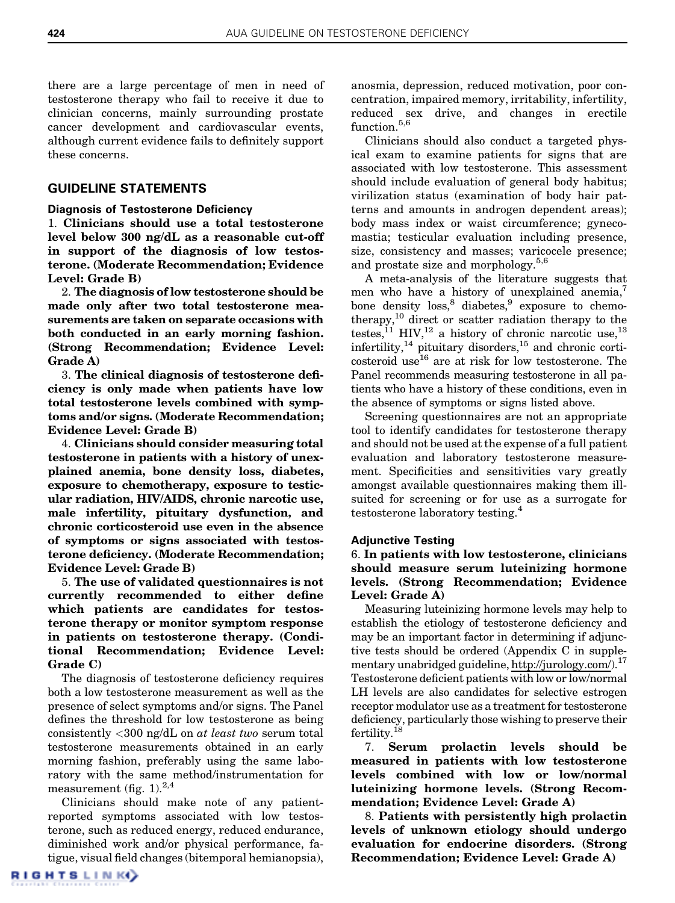there are a large percentage of men in need of testosterone therapy who fail to receive it due to clinician concerns, mainly surrounding prostate cancer development and cardiovascular events, although current evidence fails to definitely support these concerns.

# GUIDELINE STATEMENTS

# Diagnosis of Testosterone Deficiency

1. Clinicians should use a total testosterone level below 300 ng/dL as a reasonable cut-off in support of the diagnosis of low testosterone. (Moderate Recommendation; Evidence Level: Grade B)

2. The diagnosis of low testosterone should be made only after two total testosterone measurements are taken on separate occasions with both conducted in an early morning fashion. (Strong Recommendation; Evidence Level: Grade A)

3. The clinical diagnosis of testosterone deficiency is only made when patients have low total testosterone levels combined with symptoms and/or signs. (Moderate Recommendation; Evidence Level: Grade B)

4. Clinicians should consider measuring total testosterone in patients with a history of unexplained anemia, bone density loss, diabetes, exposure to chemotherapy, exposure to testicular radiation, HIV/AIDS, chronic narcotic use, male infertility, pituitary dysfunction, and chronic corticosteroid use even in the absence of symptoms or signs associated with testosterone deficiency. (Moderate Recommendation; Evidence Level: Grade B)

5. The use of validated questionnaires is not currently recommended to either define which patients are candidates for testosterone therapy or monitor symptom response in patients on testosterone therapy. (Conditional Recommendation; Evidence Level: Grade C)

The diagnosis of testosterone deficiency requires both a low testosterone measurement as well as the presence of select symptoms and/or signs. The Panel defines the threshold for low testosterone as being consistently  $\langle 300 \rangle$  ng/dL on *at least two* serum total testosterone measurements obtained in an early morning fashion, preferably using the same laboratory with the same method/instrumentation for measurement (fig.  $1$ ).<sup>[2,4](#page-8-0)</sup>

Clinicians should make note of any patientreported symptoms associated with low testosterone, such as reduced energy, reduced endurance, diminished work and/or physical performance, fatigue, visual field changes (bitemporal hemianopsia), anosmia, depression, reduced motivation, poor concentration, impaired memory, irritability, infertility, reduced sex drive, and changes in erectile function.<sup>[5,6](#page-8-0)</sup>

Clinicians should also conduct a targeted physical exam to examine patients for signs that are associated with low testosterone. This assessment should include evaluation of general body habitus; virilization status (examination of body hair patterns and amounts in androgen dependent areas); body mass index or waist circumference; gynecomastia; testicular evaluation including presence, size, consistency and masses; varicocele presence; and prostate size and morphology.<sup>[5,6](#page-8-0)</sup>

A meta-analysis of the literature suggests that men who have a history of unexplained anemia, $\overline{a}$ bone density  $\cos^8$  diabetes, exposure to chemotherapy, $10$  direct or scatter radiation therapy to the testes,<sup>11</sup> HIV,<sup>[12](#page-9-0)</sup> a history of chronic narcotic use,<sup>13</sup> infertility,<sup>14</sup> pituitary disorders,<sup>15</sup> and chronic corti-costeroid use<sup>[16](#page-9-0)</sup> are at risk for low testosterone. The Panel recommends measuring testosterone in all patients who have a history of these conditions, even in the absence of symptoms or signs listed above.

Screening questionnaires are not an appropriate tool to identify candidates for testosterone therapy and should not be used at the expense of a full patient evaluation and laboratory testosterone measurement. Specificities and sensitivities vary greatly amongst available questionnaires making them illsuited for screening or for use as a surrogate for testosterone laboratory testing.[4](#page-8-0)

# Adjunctive Testing

# 6. In patients with low testosterone, clinicians should measure serum luteinizing hormone levels. (Strong Recommendation; Evidence Level: Grade A)

Measuring luteinizing hormone levels may help to establish the etiology of testosterone deficiency and may be an important factor in determining if adjunctive tests should be ordered (Appendix C in supplementary unabridged guideline, [http://jurology.com/\)](http://jurology.com/).<sup>17</sup> Testosterone deficient patients with low or low/normal LH levels are also candidates for selective estrogen receptor modulator use as a treatment for testosterone deficiency, particularly those wishing to preserve their fertility[.18](#page-9-0)

7. Serum prolactin levels should be measured in patients with low testosterone levels combined with low or low/normal luteinizing hormone levels. (Strong Recommendation; Evidence Level: Grade A)

8. Patients with persistently high prolactin levels of unknown etiology should undergo evaluation for endocrine disorders. (Strong Recommendation; Evidence Level: Grade A)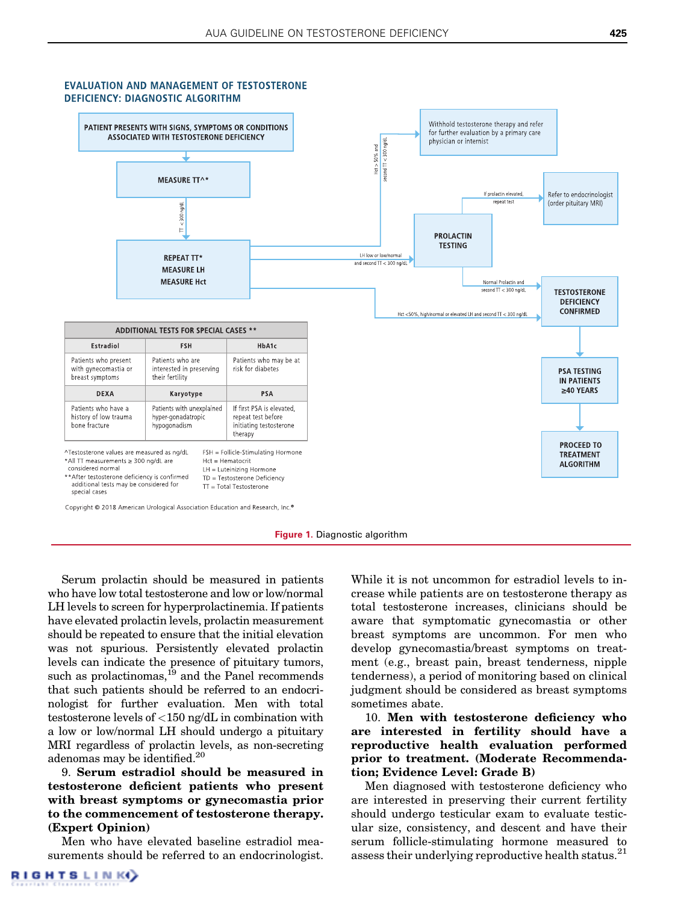#### <span id="page-2-0"></span>**EVALUATION AND MANAGEMENT OF TESTOSTERONE DEFICIENCY: DIAGNOSTIC ALGORITHM**





Serum prolactin should be measured in patients who have low total testosterone and low or low/normal LH levels to screen for hyperprolactinemia. If patients have elevated prolactin levels, prolactin measurement should be repeated to ensure that the initial elevation was not spurious. Persistently elevated prolactin levels can indicate the presence of pituitary tumors, such as prolactinomas, $^{19}$  $^{19}$  $^{19}$  and the Panel recommends that such patients should be referred to an endocrinologist for further evaluation. Men with total testosterone levels of <150 ng/dL in combination with a low or low/normal LH should undergo a pituitary MRI regardless of prolactin levels, as non-secreting adenomas may be identified.<sup>20</sup>

9. Serum estradiol should be measured in testosterone deficient patients who present with breast symptoms or gynecomastia prior to the commencement of testosterone therapy. (Expert Opinion)

Men who have elevated baseline estradiol measurements should be referred to an endocrinologist. While it is not uncommon for estradiol levels to increase while patients are on testosterone therapy as total testosterone increases, clinicians should be aware that symptomatic gynecomastia or other breast symptoms are uncommon. For men who develop gynecomastia/breast symptoms on treatment (e.g., breast pain, breast tenderness, nipple tenderness), a period of monitoring based on clinical judgment should be considered as breast symptoms sometimes abate.

10. Men with testosterone deficiency who are interested in fertility should have a reproductive health evaluation performed prior to treatment. (Moderate Recommendation; Evidence Level: Grade B)

Men diagnosed with testosterone deficiency who are interested in preserving their current fertility should undergo testicular exam to evaluate testicular size, consistency, and descent and have their serum follicle-stimulating hormone measured to assess their underlying reproductive health status.<sup>[21](#page-9-0)</sup>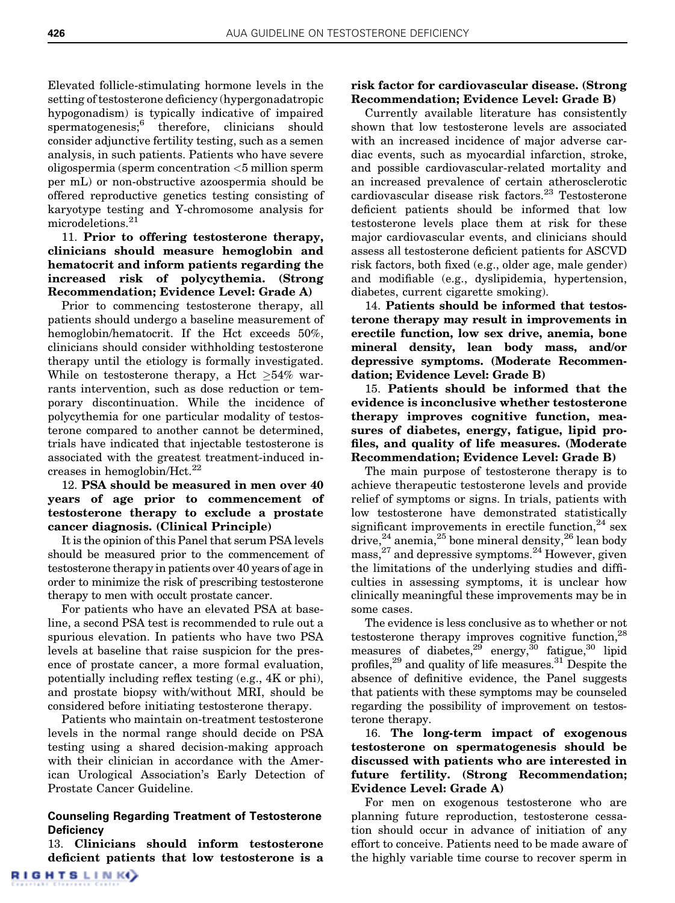Elevated follicle-stimulating hormone levels in the setting of testosterone deficiency (hypergonadatropic hypogonadism) is typically indicative of impaired  $spermatogenesis;$ <sup>[6](#page-8-0)</sup> therefore, clinicians should consider adjunctive fertility testing, such as a semen analysis, in such patients. Patients who have severe oligospermia (sperm concentration <5 million sperm per mL) or non-obstructive azoospermia should be offered reproductive genetics testing consisting of karyotype testing and Y-chromosome analysis for microdeletions.<sup>[21](#page-9-0)</sup>

# 11. Prior to offering testosterone therapy, clinicians should measure hemoglobin and hematocrit and inform patients regarding the increased risk of polycythemia. (Strong Recommendation; Evidence Level: Grade A)

Prior to commencing testosterone therapy, all patients should undergo a baseline measurement of hemoglobin/hematocrit. If the Hct exceeds 50%, clinicians should consider withholding testosterone therapy until the etiology is formally investigated. While on testosterone therapy, a Hct  $\geq 54\%$  warrants intervention, such as dose reduction or temporary discontinuation. While the incidence of polycythemia for one particular modality of testosterone compared to another cannot be determined, trials have indicated that injectable testosterone is associated with the greatest treatment-induced in-creases in hemoglobin/Hct.<sup>[22](#page-9-0)</sup>

# 12. PSA should be measured in men over 40 years of age prior to commencement of testosterone therapy to exclude a prostate cancer diagnosis. (Clinical Principle)

It is the opinion of this Panel that serum PSA levels should be measured prior to the commencement of testosterone therapy in patients over 40 years of age in order to minimize the risk of prescribing testosterone therapy to men with occult prostate cancer.

For patients who have an elevated PSA at baseline, a second PSA test is recommended to rule out a spurious elevation. In patients who have two PSA levels at baseline that raise suspicion for the presence of prostate cancer, a more formal evaluation, potentially including reflex testing (e.g., 4K or phi), and prostate biopsy with/without MRI, should be considered before initiating testosterone therapy.

Patients who maintain on-treatment testosterone levels in the normal range should decide on PSA testing using a shared decision-making approach with their clinician in accordance with the American Urological Association's Early Detection of Prostate Cancer Guideline.

# Counseling Regarding Treatment of Testosterone **Deficiency**

13. Clinicians should inform testosterone deficient patients that low testosterone is a

# risk factor for cardiovascular disease. (Strong Recommendation; Evidence Level: Grade B)

Currently available literature has consistently shown that low testosterone levels are associated with an increased incidence of major adverse cardiac events, such as myocardial infarction, stroke, and possible cardiovascular-related mortality and an increased prevalence of certain atherosclerotic cardiovascular disease risk factors.[23](#page-9-0) Testosterone deficient patients should be informed that low testosterone levels place them at risk for these major cardiovascular events, and clinicians should assess all testosterone deficient patients for ASCVD risk factors, both fixed (e.g., older age, male gender) and modifiable (e.g., dyslipidemia, hypertension, diabetes, current cigarette smoking).

14. Patients should be informed that testosterone therapy may result in improvements in erectile function, low sex drive, anemia, bone mineral density, lean body mass, and/or depressive symptoms. (Moderate Recommendation; Evidence Level: Grade B)

15. Patients should be informed that the evidence is inconclusive whether testosterone therapy improves cognitive function, measures of diabetes, energy, fatigue, lipid profiles, and quality of life measures. (Moderate Recommendation; Evidence Level: Grade B)

The main purpose of testosterone therapy is to achieve therapeutic testosterone levels and provide relief of symptoms or signs. In trials, patients with low testosterone have demonstrated statistically significant improvements in erectile function,  $24$  sex drive,  $^{24}$  $^{24}$  $^{24}$  anemia,  $^{25}$  $^{25}$  $^{25}$  bone mineral density,  $^{26}$  $^{26}$  $^{26}$  lean body mass,<sup>[27](#page-9-0)</sup> and depressive symptoms.<sup>[24](#page-9-0)</sup> However, given the limitations of the underlying studies and difficulties in assessing symptoms, it is unclear how clinically meaningful these improvements may be in some cases.

The evidence is less conclusive as to whether or not testosterone therapy improves cognitive function, $^{28}$ measures of diabetes,  $29$  energy,  $30$  fatigue,  $30$  lipid profiles[,29](#page-9-0) and quality of life measures[.31](#page-9-0) Despite the absence of definitive evidence, the Panel suggests that patients with these symptoms may be counseled regarding the possibility of improvement on testosterone therapy.

# 16. The long-term impact of exogenous testosterone on spermatogenesis should be discussed with patients who are interested in future fertility. (Strong Recommendation; Evidence Level: Grade A)

For men on exogenous testosterone who are planning future reproduction, testosterone cessation should occur in advance of initiation of any effort to conceive. Patients need to be made aware of the highly variable time course to recover sperm in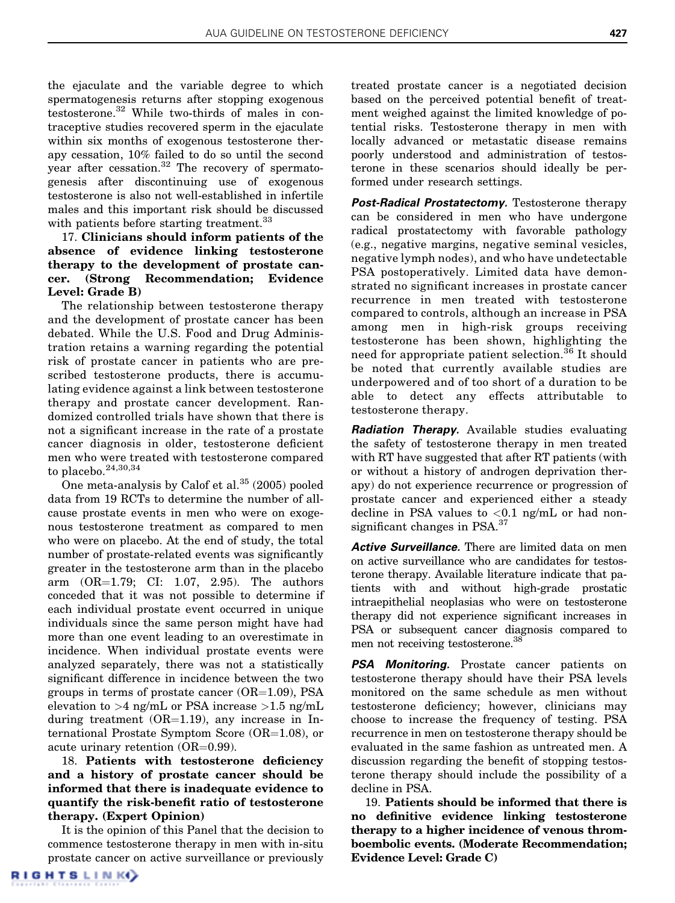the ejaculate and the variable degree to which spermatogenesis returns after stopping exogenous testosterone.[32](#page-9-0) While two-thirds of males in contraceptive studies recovered sperm in the ejaculate within six months of exogenous testosterone therapy cessation, 10% failed to do so until the second year after cessation.<sup>[32](#page-9-0)</sup> The recovery of spermatogenesis after discontinuing use of exogenous testosterone is also not well-established in infertile males and this important risk should be discussed with patients before starting treatment.<sup>[33](#page-9-0)</sup>

# 17. Clinicians should inform patients of the absence of evidence linking testosterone therapy to the development of prostate cancer. (Strong Recommendation; Evidence Level: Grade B)

The relationship between testosterone therapy and the development of prostate cancer has been debated. While the U.S. Food and Drug Administration retains a warning regarding the potential risk of prostate cancer in patients who are prescribed testosterone products, there is accumulating evidence against a link between testosterone therapy and prostate cancer development. Randomized controlled trials have shown that there is not a significant increase in the rate of a prostate cancer diagnosis in older, testosterone deficient men who were treated with testosterone compared to placebo. $24,30,34$ 

One meta-analysis by Calof et al.<sup>[35](#page-9-0)</sup> (2005) pooled data from 19 RCTs to determine the number of allcause prostate events in men who were on exogenous testosterone treatment as compared to men who were on placebo. At the end of study, the total number of prostate-related events was significantly greater in the testosterone arm than in the placebo arm  $(OR=1.79; CI: 1.07, 2.95)$ . The authors conceded that it was not possible to determine if each individual prostate event occurred in unique individuals since the same person might have had more than one event leading to an overestimate in incidence. When individual prostate events were analyzed separately, there was not a statistically significant difference in incidence between the two groups in terms of prostate cancer  $(OR=1.09)$ , PSA elevation to  $>4$  ng/mL or PSA increase  $>1.5$  ng/mL during treatment  $(OR=1.19)$ , any increase in International Prostate Symptom Score  $(OR=1.08)$ , or acute urinary retention  $(OR=0.99)$ .

18. Patients with testosterone deficiency and a history of prostate cancer should be informed that there is inadequate evidence to quantify the risk-benefit ratio of testosterone therapy. (Expert Opinion)

It is the opinion of this Panel that the decision to commence testosterone therapy in men with in-situ prostate cancer on active surveillance or previously treated prostate cancer is a negotiated decision based on the perceived potential benefit of treatment weighed against the limited knowledge of potential risks. Testosterone therapy in men with locally advanced or metastatic disease remains poorly understood and administration of testosterone in these scenarios should ideally be performed under research settings.

Post-Radical Prostatectomy. Testosterone therapy can be considered in men who have undergone radical prostatectomy with favorable pathology (e.g., negative margins, negative seminal vesicles, negative lymph nodes), and who have undetectable PSA postoperatively. Limited data have demonstrated no significant increases in prostate cancer recurrence in men treated with testosterone compared to controls, although an increase in PSA among men in high-risk groups receiving testosterone has been shown, highlighting the need for appropriate patient selection.<sup>[36](#page-9-0)</sup> It should be noted that currently available studies are underpowered and of too short of a duration to be able to detect any effects attributable to testosterone therapy.

**Radiation Therapy.** Available studies evaluating the safety of testosterone therapy in men treated with RT have suggested that after RT patients (with or without a history of androgen deprivation therapy) do not experience recurrence or progression of prostate cancer and experienced either a steady decline in PSA values to  $\langle 0.1 \text{ ng/mL} \rangle$  or had non-significant changes in PSA.<sup>[37](#page-9-0)</sup>

Active Surveillance. There are limited data on men on active surveillance who are candidates for testosterone therapy. Available literature indicate that patients with and without high-grade prostatic intraepithelial neoplasias who were on testosterone therapy did not experience significant increases in PSA or subsequent cancer diagnosis compared to men not receiving testosterone[.38](#page-9-0)

**PSA Monitoring.** Prostate cancer patients on testosterone therapy should have their PSA levels monitored on the same schedule as men without testosterone deficiency; however, clinicians may choose to increase the frequency of testing. PSA recurrence in men on testosterone therapy should be evaluated in the same fashion as untreated men. A discussion regarding the benefit of stopping testosterone therapy should include the possibility of a decline in PSA.

19. Patients should be informed that there is no definitive evidence linking testosterone therapy to a higher incidence of venous thromboembolic events. (Moderate Recommendation; Evidence Level: Grade C)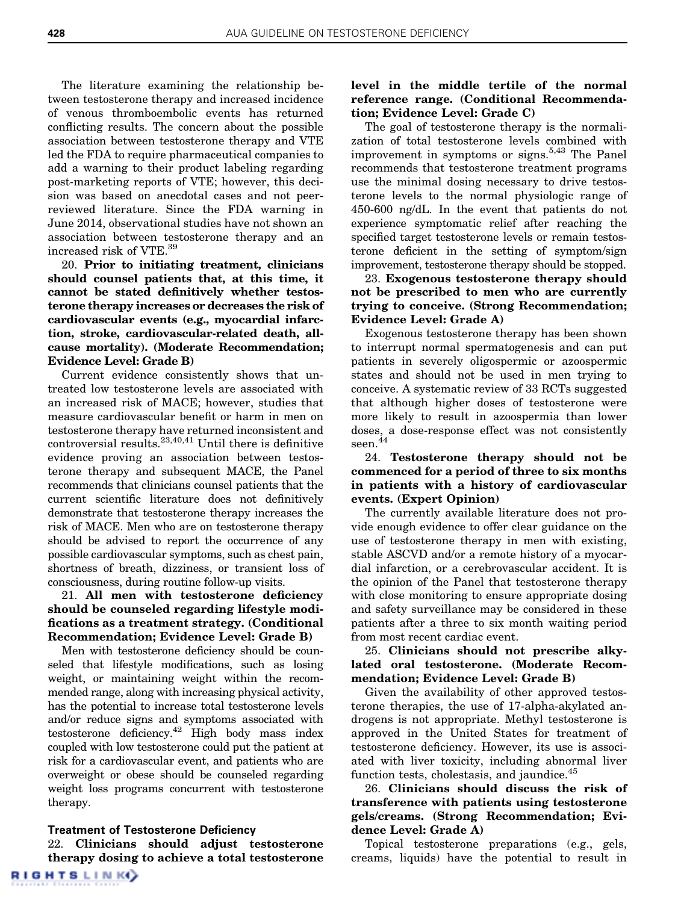The literature examining the relationship between testosterone therapy and increased incidence of venous thromboembolic events has returned conflicting results. The concern about the possible association between testosterone therapy and VTE led the FDA to require pharmaceutical companies to add a warning to their product labeling regarding post-marketing reports of VTE; however, this decision was based on anecdotal cases and not peerreviewed literature. Since the FDA warning in June 2014, observational studies have not shown an association between testosterone therapy and an increased risk of VTE.[39](#page-9-0)

20. Prior to initiating treatment, clinicians should counsel patients that, at this time, it cannot be stated definitively whether testosterone therapy increases or decreases the risk of cardiovascular events (e.g., myocardial infarction, stroke, cardiovascular-related death, allcause mortality). (Moderate Recommendation; Evidence Level: Grade B)

Current evidence consistently shows that untreated low testosterone levels are associated with an increased risk of MACE; however, studies that measure cardiovascular benefit or harm in men on testosterone therapy have returned inconsistent and controversial results. $23,40,41$  Until there is definitive evidence proving an association between testosterone therapy and subsequent MACE, the Panel recommends that clinicians counsel patients that the current scientific literature does not definitively demonstrate that testosterone therapy increases the risk of MACE. Men who are on testosterone therapy should be advised to report the occurrence of any possible cardiovascular symptoms, such as chest pain, shortness of breath, dizziness, or transient loss of consciousness, during routine follow-up visits.

# 21. All men with testosterone deficiency should be counseled regarding lifestyle modifications as a treatment strategy. (Conditional Recommendation; Evidence Level: Grade B)

Men with testosterone deficiency should be counseled that lifestyle modifications, such as losing weight, or maintaining weight within the recommended range, along with increasing physical activity, has the potential to increase total testosterone levels and/or reduce signs and symptoms associated with testosterone deficiency.[42](#page-9-0) High body mass index coupled with low testosterone could put the patient at risk for a cardiovascular event, and patients who are overweight or obese should be counseled regarding weight loss programs concurrent with testosterone therapy.

#### Treatment of Testosterone Deficiency

22. Clinicians should adjust testosterone therapy dosing to achieve a total testosterone

### level in the middle tertile of the normal reference range. (Conditional Recommendation; Evidence Level: Grade C)

The goal of testosterone therapy is the normalization of total testosterone levels combined with improvement in symptoms or signs.<sup>[5,43](#page-8-0)</sup> The Panel recommends that testosterone treatment programs use the minimal dosing necessary to drive testosterone levels to the normal physiologic range of 450-600 ng/dL. In the event that patients do not experience symptomatic relief after reaching the specified target testosterone levels or remain testosterone deficient in the setting of symptom/sign improvement, testosterone therapy should be stopped.

# 23. Exogenous testosterone therapy should not be prescribed to men who are currently trying to conceive. (Strong Recommendation; Evidence Level: Grade A)

Exogenous testosterone therapy has been shown to interrupt normal spermatogenesis and can put patients in severely oligospermic or azoospermic states and should not be used in men trying to conceive. A systematic review of 33 RCTs suggested that although higher doses of testosterone were more likely to result in azoospermia than lower doses, a dose-response effect was not consistently seen.<sup>[44](#page-9-0)</sup>

# 24. Testosterone therapy should not be commenced for a period of three to six months in patients with a history of cardiovascular events. (Expert Opinion)

The currently available literature does not provide enough evidence to offer clear guidance on the use of testosterone therapy in men with existing, stable ASCVD and/or a remote history of a myocardial infarction, or a cerebrovascular accident. It is the opinion of the Panel that testosterone therapy with close monitoring to ensure appropriate dosing and safety surveillance may be considered in these patients after a three to six month waiting period from most recent cardiac event.

## 25. Clinicians should not prescribe alkylated oral testosterone. (Moderate Recommendation; Evidence Level: Grade B)

Given the availability of other approved testosterone therapies, the use of 17-alpha-akylated androgens is not appropriate. Methyl testosterone is approved in the United States for treatment of testosterone deficiency. However, its use is associated with liver toxicity, including abnormal liver function tests, cholestasis, and jaundice.<sup>[45](#page-9-0)</sup>

# 26. Clinicians should discuss the risk of transference with patients using testosterone gels/creams. (Strong Recommendation; Evidence Level: Grade A)

Topical testosterone preparations (e.g., gels, creams, liquids) have the potential to result in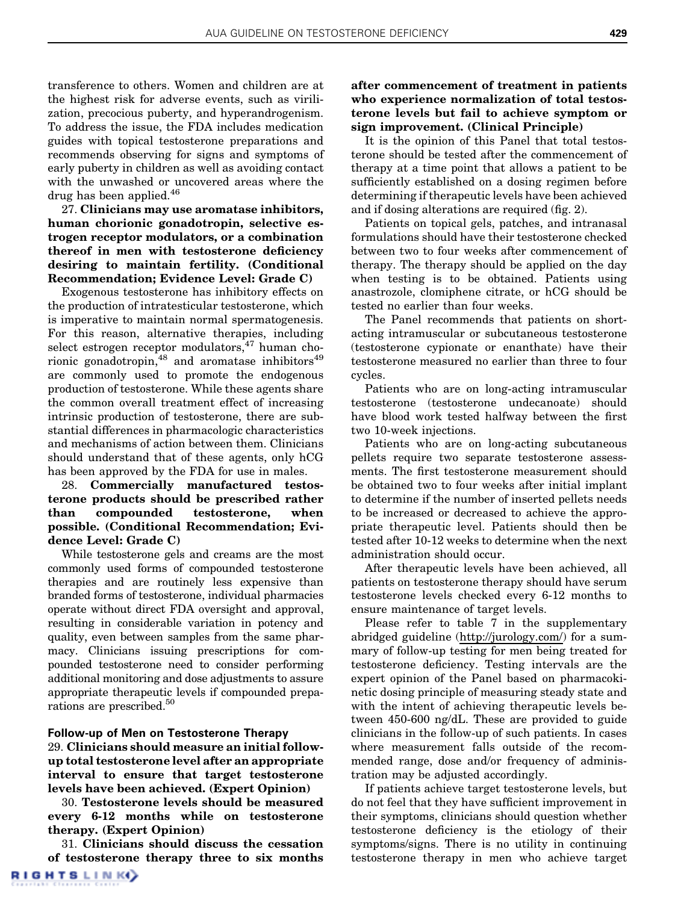transference to others. Women and children are at the highest risk for adverse events, such as virilization, precocious puberty, and hyperandrogenism. To address the issue, the FDA includes medication guides with topical testosterone preparations and recommends observing for signs and symptoms of early puberty in children as well as avoiding contact with the unwashed or uncovered areas where the drug has been applied.<sup>[46](#page-9-0)</sup>

# 27. Clinicians may use aromatase inhibitors, human chorionic gonadotropin, selective estrogen receptor modulators, or a combination thereof in men with testosterone deficiency desiring to maintain fertility. (Conditional Recommendation; Evidence Level: Grade C)

Exogenous testosterone has inhibitory effects on the production of intratesticular testosterone, which is imperative to maintain normal spermatogenesis. For this reason, alternative therapies, including select estrogen receptor modulators, $47$  human cho-rionic gonadotropin,<sup>48</sup> and aromatase inhibitors<sup>[49](#page-9-0)</sup> are commonly used to promote the endogenous production of testosterone. While these agents share the common overall treatment effect of increasing intrinsic production of testosterone, there are substantial differences in pharmacologic characteristics and mechanisms of action between them. Clinicians should understand that of these agents, only hCG has been approved by the FDA for use in males.

# 28. Commercially manufactured testosterone products should be prescribed rather than compounded testosterone, when possible. (Conditional Recommendation; Evidence Level: Grade C)

While testosterone gels and creams are the most commonly used forms of compounded testosterone therapies and are routinely less expensive than branded forms of testosterone, individual pharmacies operate without direct FDA oversight and approval, resulting in considerable variation in potency and quality, even between samples from the same pharmacy. Clinicians issuing prescriptions for compounded testosterone need to consider performing additional monitoring and dose adjustments to assure appropriate therapeutic levels if compounded preparations are prescribed.<sup>50</sup>

# Follow-up of Men on Testosterone Therapy

29. Clinicians should measure an initial followup total testosterone level after an appropriate interval to ensure that target testosterone levels have been achieved. (Expert Opinion)

30. Testosterone levels should be measured every 6-12 months while on testosterone therapy. (Expert Opinion)

31. Clinicians should discuss the cessation of testosterone therapy three to six months

# after commencement of treatment in patients who experience normalization of total testosterone levels but fail to achieve symptom or sign improvement. (Clinical Principle)

It is the opinion of this Panel that total testosterone should be tested after the commencement of therapy at a time point that allows a patient to be sufficiently established on a dosing regimen before determining if therapeutic levels have been achieved and if dosing alterations are required ([fig. 2](#page-7-0)).

Patients on topical gels, patches, and intranasal formulations should have their testosterone checked between two to four weeks after commencement of therapy. The therapy should be applied on the day when testing is to be obtained. Patients using anastrozole, clomiphene citrate, or hCG should be tested no earlier than four weeks.

The Panel recommends that patients on shortacting intramuscular or subcutaneous testosterone (testosterone cypionate or enanthate) have their testosterone measured no earlier than three to four cycles.

Patients who are on long-acting intramuscular testosterone (testosterone undecanoate) should have blood work tested halfway between the first two 10-week injections.

Patients who are on long-acting subcutaneous pellets require two separate testosterone assessments. The first testosterone measurement should be obtained two to four weeks after initial implant to determine if the number of inserted pellets needs to be increased or decreased to achieve the appropriate therapeutic level. Patients should then be tested after 10-12 weeks to determine when the next administration should occur.

After therapeutic levels have been achieved, all patients on testosterone therapy should have serum testosterone levels checked every 6-12 months to ensure maintenance of target levels.

Please refer to table 7 in the supplementary abridged guideline [\(http://jurology.com/\)](http://jurology.com/) for a summary of follow-up testing for men being treated for testosterone deficiency. Testing intervals are the expert opinion of the Panel based on pharmacokinetic dosing principle of measuring steady state and with the intent of achieving therapeutic levels between 450-600 ng/dL. These are provided to guide clinicians in the follow-up of such patients. In cases where measurement falls outside of the recommended range, dose and/or frequency of administration may be adjusted accordingly.

If patients achieve target testosterone levels, but do not feel that they have sufficient improvement in their symptoms, clinicians should question whether testosterone deficiency is the etiology of their symptoms/signs. There is no utility in continuing testosterone therapy in men who achieve target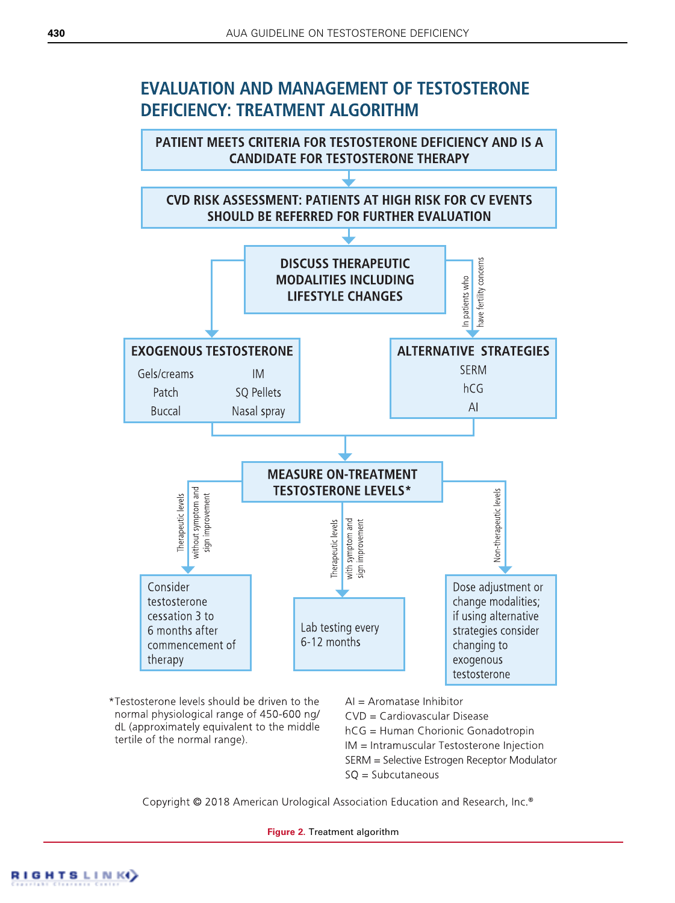<span id="page-7-0"></span>



\*Testosterone levels should be driven to the normal physiological range of 450-600 ng/ dL (approximately equivalent to the middle tertile of the normal range).

AI = Aromatase Inhibitor CVD = Cardiovascular Disease hCG = Human Chorionic Gonadotropin IM = Intramuscular Testosterone Injection SERM = Selective Estrogen Receptor Modulator  $SQ = Subcutaneous$ 

Copyright © 2018 American Urological Association Education and Research, Inc.®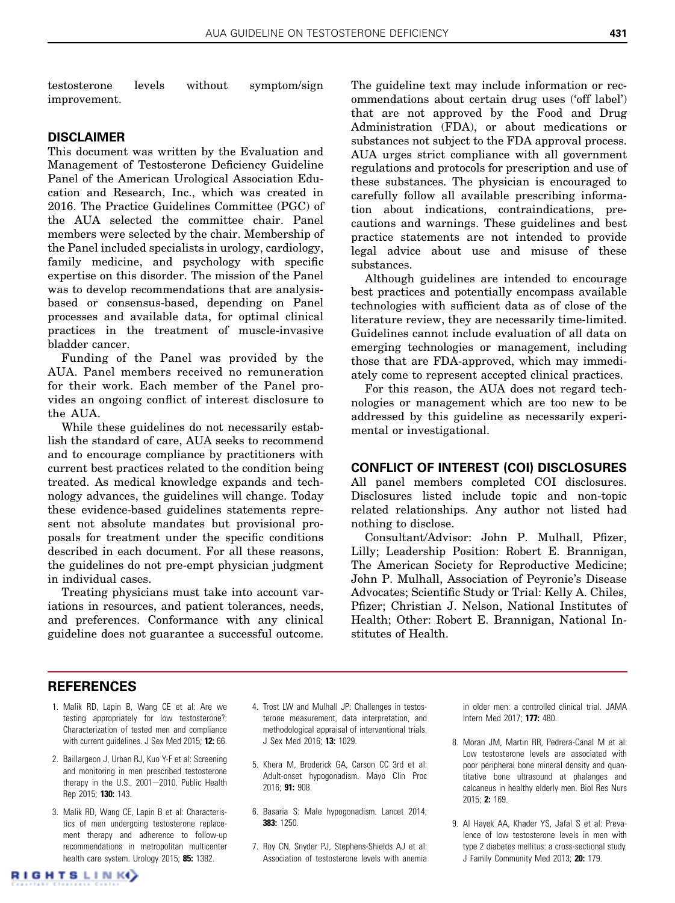<span id="page-8-0"></span>testosterone levels without symptom/sign improvement.

# DISCLAIMER

This document was written by the Evaluation and Management of Testosterone Deficiency Guideline Panel of the American Urological Association Education and Research, Inc., which was created in 2016. The Practice Guidelines Committee (PGC) of the AUA selected the committee chair. Panel members were selected by the chair. Membership of the Panel included specialists in urology, cardiology, family medicine, and psychology with specific expertise on this disorder. The mission of the Panel was to develop recommendations that are analysisbased or consensus-based, depending on Panel processes and available data, for optimal clinical practices in the treatment of muscle-invasive bladder cancer.

Funding of the Panel was provided by the AUA. Panel members received no remuneration for their work. Each member of the Panel provides an ongoing conflict of interest disclosure to the AUA.

While these guidelines do not necessarily establish the standard of care, AUA seeks to recommend and to encourage compliance by practitioners with current best practices related to the condition being treated. As medical knowledge expands and technology advances, the guidelines will change. Today these evidence-based guidelines statements represent not absolute mandates but provisional proposals for treatment under the specific conditions described in each document. For all these reasons, the guidelines do not pre-empt physician judgment in individual cases.

Treating physicians must take into account variations in resources, and patient tolerances, needs, and preferences. Conformance with any clinical guideline does not guarantee a successful outcome. The guideline text may include information or recommendations about certain drug uses ('off label') that are not approved by the Food and Drug Administration (FDA), or about medications or substances not subject to the FDA approval process. AUA urges strict compliance with all government regulations and protocols for prescription and use of these substances. The physician is encouraged to carefully follow all available prescribing information about indications, contraindications, precautions and warnings. These guidelines and best practice statements are not intended to provide legal advice about use and misuse of these substances.

Although guidelines are intended to encourage best practices and potentially encompass available technologies with sufficient data as of close of the literature review, they are necessarily time-limited. Guidelines cannot include evaluation of all data on emerging technologies or management, including those that are FDA-approved, which may immediately come to represent accepted clinical practices.

For this reason, the AUA does not regard technologies or management which are too new to be addressed by this guideline as necessarily experimental or investigational.

# CONFLICT OF INTEREST (COI) DISCLOSURES

All panel members completed COI disclosures. Disclosures listed include topic and non-topic related relationships. Any author not listed had nothing to disclose.

Consultant/Advisor: John P. Mulhall, Pfizer, Lilly; Leadership Position: Robert E. Brannigan, The American Society for Reproductive Medicine; John P. Mulhall, Association of Peyronie's Disease Advocates; Scientific Study or Trial: Kelly A. Chiles, Pfizer; Christian J. Nelson, National Institutes of Health; Other: Robert E. Brannigan, National Institutes of Health.

# **REFERENCES**

- 1. Malik RD, Lapin B, Wang CE et al: Are we testing appropriately for low testosterone?: Characterization of tested men and compliance with current guidelines. J Sex Med 2015; 12: 66.
- 2. Baillargeon J, Urban RJ, Kuo Y-F et al: Screening and monitoring in men prescribed testosterone therapy in the U.S., 2001-2010. Public Health Rep 2015; 130: 143.
- 3. Malik RD, Wang CE, Lapin B et al: Characteristics of men undergoing testosterone replacement therapy and adherence to follow-up recommendations in metropolitan multicenter health care system. Urology 2015; 85: 1382.
- 4. Trost LW and Mulhall JP: Challenges in testosterone measurement, data interpretation, and methodological appraisal of interventional trials. J Sex Med 2016; 13: 1029.
- 5. Khera M, Broderick GA, Carson CC 3rd et al: Adult-onset hypogonadism. Mayo Clin Proc 2016; 91: 908.
- 6. Basaria S: Male hypogonadism. Lancet 2014; 383: 1250.
- 7. Roy CN, Snyder PJ, Stephens-Shields AJ et al: Association of testosterone levels with anemia

in older men: a controlled clinical trial. JAMA Intern Med 2017; 177: 480.

- 8. Moran JM, Martin RR, Pedrera-Canal M et al: Low testosterone levels are associated with poor peripheral bone mineral density and quantitative bone ultrasound at phalanges and calcaneus in healthy elderly men. Biol Res Nurs 2015; 2: 169.
- 9. Al Hayek AA, Khader YS, Jafal S et al: Prevalence of low testosterone levels in men with type 2 diabetes mellitus: a cross-sectional study. J Family Community Med 2013; 20: 179.